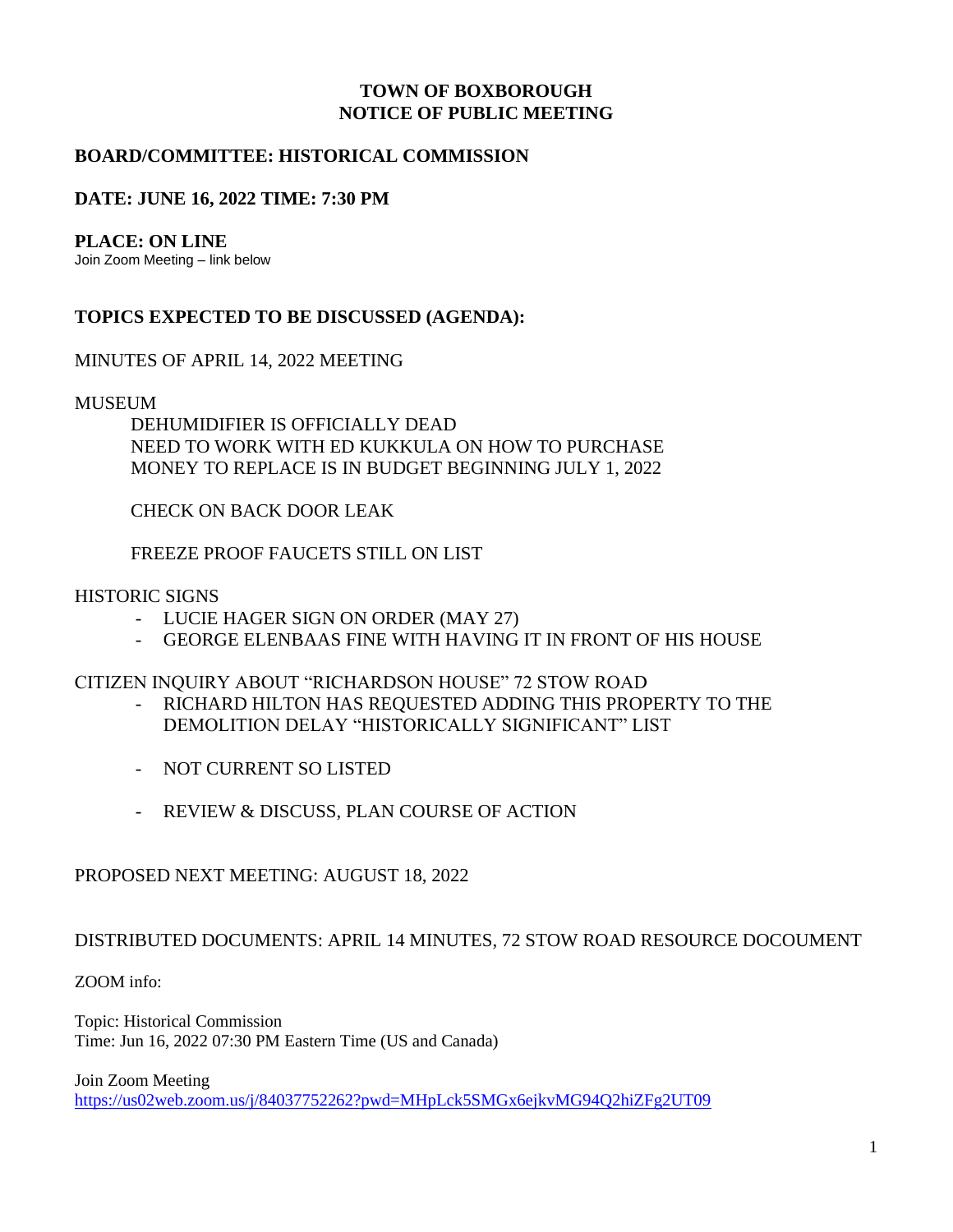## **TOWN OF BOXBOROUGH NOTICE OF PUBLIC MEETING**

# **BOARD/COMMITTEE: HISTORICAL COMMISSION**

# **DATE: JUNE 16, 2022 TIME: 7:30 PM**

#### **PLACE: ON LINE**

Join Zoom Meeting – link below

## **TOPICS EXPECTED TO BE DISCUSSED (AGENDA):**

## MINUTES OF APRIL 14, 2022 MEETING

#### MUSEUM

DEHUMIDIFIER IS OFFICIALLY DEAD NEED TO WORK WITH ED KUKKULA ON HOW TO PURCHASE MONEY TO REPLACE IS IN BUDGET BEGINNING JULY 1, 2022

CHECK ON BACK DOOR LEAK

FREEZE PROOF FAUCETS STILL ON LIST

#### HISTORIC SIGNS

- LUCIE HAGER SIGN ON ORDER (MAY 27)
- GEORGE ELENBAAS FINE WITH HAVING IT IN FRONT OF HIS HOUSE

CITIZEN INQUIRY ABOUT "RICHARDSON HOUSE" 72 STOW ROAD

- RICHARD HILTON HAS REQUESTED ADDING THIS PROPERTY TO THE DEMOLITION DELAY "HISTORICALLY SIGNIFICANT" LIST
- NOT CURRENT SO LISTED
- REVIEW & DISCUSS, PLAN COURSE OF ACTION

## PROPOSED NEXT MEETING: AUGUST 18, 2022

## DISTRIBUTED DOCUMENTS: APRIL 14 MINUTES, 72 STOW ROAD RESOURCE DOCOUMENT

ZOOM info:

Topic: Historical Commission Time: Jun 16, 2022 07:30 PM Eastern Time (US and Canada)

Join Zoom Meeting

<https://us02web.zoom.us/j/84037752262?pwd=MHpLck5SMGx6ejkvMG94Q2hiZFg2UT09>